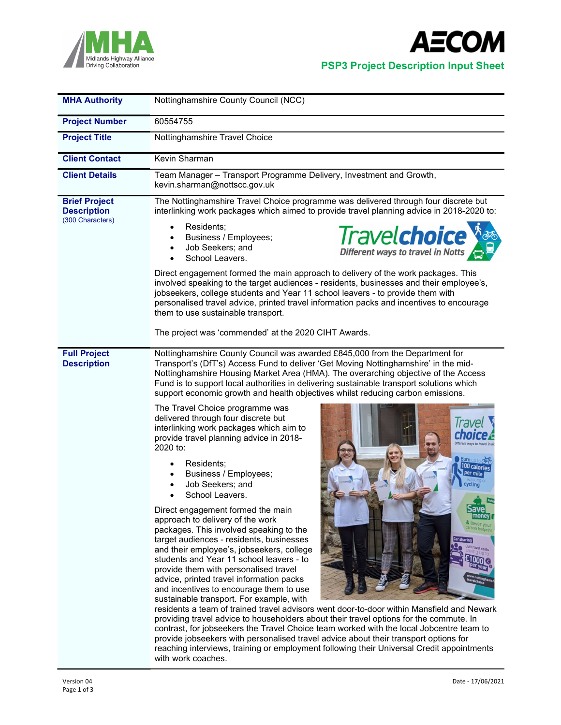



Midlands Highway Alliance<br>Driving Collaboration<br>Driving Collaboration

| <b>MHA Authority</b>                                           | Nottinghamshire County Council (NCC)                                                                                                                                                                                                                                                                                                                                                                                                                                                                                                                                                                                                                                                                                                                                                                                                                                                                                                                                                                                                                                                                                                                                                                                                                                                                                                                                                                                                                                                                                                                                                                                                                                                                                        |  |  |
|----------------------------------------------------------------|-----------------------------------------------------------------------------------------------------------------------------------------------------------------------------------------------------------------------------------------------------------------------------------------------------------------------------------------------------------------------------------------------------------------------------------------------------------------------------------------------------------------------------------------------------------------------------------------------------------------------------------------------------------------------------------------------------------------------------------------------------------------------------------------------------------------------------------------------------------------------------------------------------------------------------------------------------------------------------------------------------------------------------------------------------------------------------------------------------------------------------------------------------------------------------------------------------------------------------------------------------------------------------------------------------------------------------------------------------------------------------------------------------------------------------------------------------------------------------------------------------------------------------------------------------------------------------------------------------------------------------------------------------------------------------------------------------------------------------|--|--|
| <b>Project Number</b>                                          | 60554755                                                                                                                                                                                                                                                                                                                                                                                                                                                                                                                                                                                                                                                                                                                                                                                                                                                                                                                                                                                                                                                                                                                                                                                                                                                                                                                                                                                                                                                                                                                                                                                                                                                                                                                    |  |  |
| <b>Project Title</b>                                           | Nottinghamshire Travel Choice                                                                                                                                                                                                                                                                                                                                                                                                                                                                                                                                                                                                                                                                                                                                                                                                                                                                                                                                                                                                                                                                                                                                                                                                                                                                                                                                                                                                                                                                                                                                                                                                                                                                                               |  |  |
| <b>Client Contact</b>                                          | Kevin Sharman                                                                                                                                                                                                                                                                                                                                                                                                                                                                                                                                                                                                                                                                                                                                                                                                                                                                                                                                                                                                                                                                                                                                                                                                                                                                                                                                                                                                                                                                                                                                                                                                                                                                                                               |  |  |
| <b>Client Details</b>                                          | Team Manager - Transport Programme Delivery, Investment and Growth,<br>kevin.sharman@nottscc.gov.uk                                                                                                                                                                                                                                                                                                                                                                                                                                                                                                                                                                                                                                                                                                                                                                                                                                                                                                                                                                                                                                                                                                                                                                                                                                                                                                                                                                                                                                                                                                                                                                                                                         |  |  |
| <b>Brief Project</b><br><b>Description</b><br>(300 Characters) | The Nottinghamshire Travel Choice programme was delivered through four discrete but<br>interlinking work packages which aimed to provide travel planning advice in 2018-2020 to:<br>Residents;<br><b>Travelchoice</b><br>Business / Employees;<br>Job Seekers; and<br>Different ways to travel in Notts<br>School Leavers.<br>Direct engagement formed the main approach to delivery of the work packages. This<br>involved speaking to the target audiences - residents, businesses and their employee's,<br>jobseekers, college students and Year 11 school leavers - to provide them with<br>personalised travel advice, printed travel information packs and incentives to encourage<br>them to use sustainable transport.<br>The project was 'commended' at the 2020 CIHT Awards.                                                                                                                                                                                                                                                                                                                                                                                                                                                                                                                                                                                                                                                                                                                                                                                                                                                                                                                                      |  |  |
| <b>Full Project</b><br><b>Description</b>                      | Nottinghamshire County Council was awarded £845,000 from the Department for<br>Transport's (DfT's) Access Fund to deliver 'Get Moving Nottinghamshire' in the mid-<br>Nottinghamshire Housing Market Area (HMA). The overarching objective of the Access<br>Fund is to support local authorities in delivering sustainable transport solutions which<br>support economic growth and health objectives whilst reducing carbon emissions.<br>The Travel Choice programme was<br>delivered through four discrete but<br>interlinking work packages which aim to<br>provide travel planning advice in 2018-<br>2020 to:<br>Residents;<br>100 calories<br>per mile<br>Business / Employees;<br>Job Seekers; and<br>cycling<br>School Leavers.<br>Direct engagement formed the main<br>pave<br>mone<br>approach to delivery of the work<br>& lower you<br>arbon footprin<br>packages. This involved speaking to the<br>target audiences - residents, businesses<br>and their employee's, jobseekers, college<br>students and Year 11 school leavers - to<br>provide them with personalised travel<br>advice, printed travel information packs<br>and incentives to encourage them to use<br>sustainable transport. For example, with<br>residents a team of trained travel advisors went door-to-door within Mansfield and Newark<br>providing travel advice to householders about their travel options for the commute. In<br>contrast, for jobseekers the Travel Choice team worked with the local Jobcentre team to<br>provide jobseekers with personalised travel advice about their transport options for<br>reaching interviews, training or employment following their Universal Credit appointments<br>with work coaches. |  |  |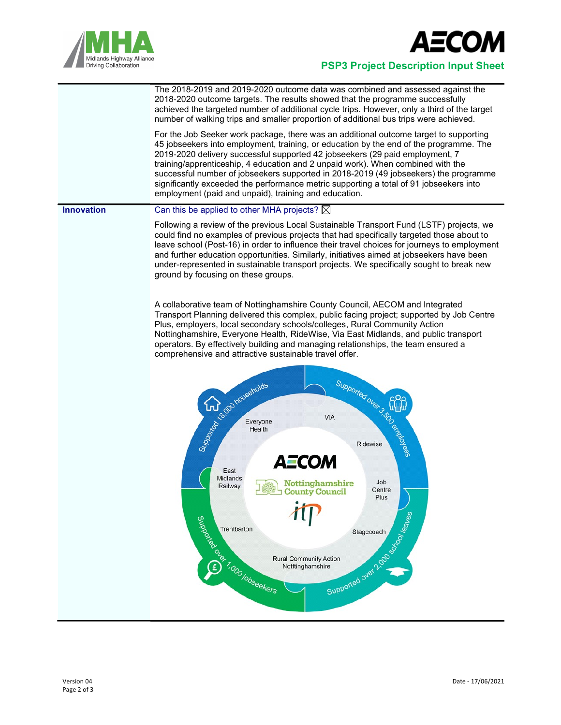



## Midlands Highway Alliance<br>Driving Collaboration<br>Driving Collaboration